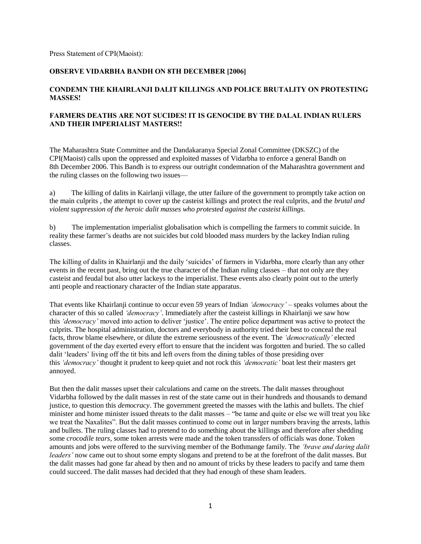## Press Statement of CPI(Maoist):

## **OBSERVE VIDARBHA BANDH ON 8TH DECEMBER [2006]**

## **CONDEMN THE KHAIRLANJI DALIT KILLINGS AND POLICE BRUTALITY ON PROTESTING MASSES!**

## **FARMERS DEATHS ARE NOT SUCIDES! IT IS GENOCIDE BY THE DALAL INDIAN RULERS AND THEIR IMPERIALIST MASTERS!!**

The Maharashtra State Committee and the Dandakaranya Special Zonal Committee (DKSZC) of the CPI(Maoist) calls upon the oppressed and exploited masses of Vidarbha to enforce a general Bandh on 8th December 2006. This Bandh is to express our outright condemnation of the Maharashtra government and the ruling classes on the following two issues—

a) The killing of dalits in Kairlanji village, the utter failure of the government to promptly take action on the main culprits , the attempt to cover up the casteist killings and protect the real culprits, and the *brutal and violent suppression of the heroic dalit masses who protested against the casteist killings.*

b) The implementation imperialist globalisation which is compelling the farmers to commit suicide. In reality these farmer's deaths are not suicides but cold blooded mass murders by the lackey Indian ruling classes.

The killing of dalits in Khairlanji and the daily 'suicides' of farmers in Vidarbha, more clearly than any other events in the recent past, bring out the true character of the Indian ruling classes – that not only are they casteist and feudal but also utter lackeys to the imperialist. These events also clearly point out to the utterly anti people and reactionary character of the Indian state apparatus.

That events like Khairlanji continue to occur even 59 years of Indian *"democracy"* – speaks volumes about the character of this so called *"democracy"*. Immediately after the casteist killings in Khairlanji we saw how this *'democracy'* moved into action to deliver 'justice'. The entire police department was active to protect the culprits. The hospital administration, doctors and everybody in authority tried their best to conceal the real facts, throw blame elsewhere, or dilute the extreme seriousness of the event. The *"democratically"* elected government of the day exerted every effort to ensure that the incident was forgotten and buried. The so called dalit 'leaders' living off the tit bits and left overs from the dining tables of those presiding over this *"democracy"* thought it prudent to keep quiet and not rock this *"democratic"* boat lest their masters get annoyed.

But then the dalit masses upset their calculations and came on the streets. The dalit masses throughout Vidarbha followed by the dalit masses in rest of the state came out in their hundreds and thousands to demand justice, to question this *democracy*. The government greeted the masses with the lathis and bullets. The chief minister and home minister issued threats to the dalit masses – "be tame and quite or else we will treat you like we treat the Naxalites". But the dalit masses continued to come out in larger numbers braving the arrests, lathis and bullets. The ruling classes had to pretend to do something about the killings and therefore after shedding some *crocodile tears*, some token arrests were made and the token transsfers of officials was done. Token amounts and jobs were offered to the surviving member of the Bothmange family. The *"brave and daring dalit leaders'* now came out to shout some empty slogans and pretend to be at the forefront of the dalit masses. But the dalit masses had gone far ahead by then and no amount of tricks by these leaders to pacify and tame them could succeed. The dalit masses had decided that they had enough of these sham leaders.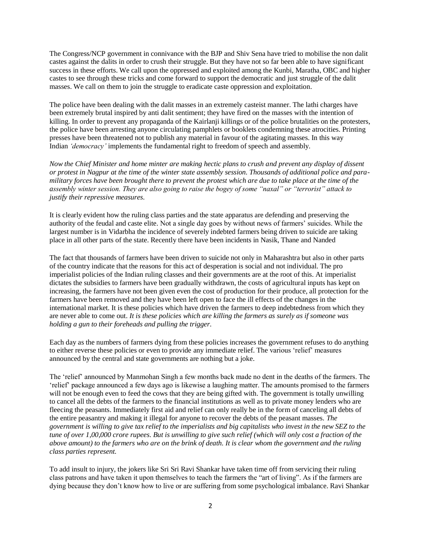The Congress/NCP government in connivance with the BJP and Shiv Sena have tried to mobilise the non dalit castes against the dalits in order to crush their struggle. But they have not so far been able to have significant success in these efforts. We call upon the oppressed and exploited among the Kunbi, Maratha, OBC and higher castes to see through these tricks and come forward to support the democratic and just struggle of the dalit masses. We call on them to join the struggle to eradicate caste oppression and exploitation.

The police have been dealing with the dalit masses in an extremely casteist manner. The lathi charges have been extremely brutal inspired by anti dalit sentiment; they have fired on the masses with the intention of killing. In order to prevent any propaganda of the Kairlanji killings or of the police brutalities on the protesters, the police have been arresting anyone circulating pamphlets or booklets condemning these atrocities. Printing presses have been threatened not to publish any material in favour of the agitating masses. In this way Indian *"democracy"* implements the fundamental right to freedom of speech and assembly.

*Now the Chief Minister and home minter are making hectic plans to crush and prevent any display of dissent or protest in Nagpur at the time of the winter state assembly session. Thousands of additional police and paramilitary forces have been brought there to prevent the protest which are due to take place at the time of the assembly winter session. They are also going to raise the bogey of some "naxal" or "terrorist" attack to justify their repressive measures.*

It is clearly evident how the ruling class parties and the state apparatus are defending and preserving the authority of the feudal and caste elite. Not a single day goes by without news of farmers' suicides. While the largest number is in Vidarbha the incidence of severely indebted farmers being driven to suicide are taking place in all other parts of the state. Recently there have been incidents in Nasik, Thane and Nanded

The fact that thousands of farmers have been driven to suicide not only in Maharashtra but also in other parts of the country indicate that the reasons for this act of desperation is social and not individual. The pro imperialist policies of the Indian ruling classes and their governments are at the root of this. At imperialist dictates the subsidies to farmers have been gradually withdrawn, the costs of agricultural inputs has kept on increasing, the farmers have not been given even the cost of production for their produce, all protection for the farmers have been removed and they have been left open to face the ill effects of the changes in the international market. It is these policies which have driven the farmers to deep indebtedness from which they are never able to come out. *It is these policies which are killing the farmers as surely as if someone was holding a gun to their foreheads and pulling the trigger.*

Each day as the numbers of farmers dying from these policies increases the government refuses to do anything to either reverse these policies or even to provide any immediate relief. The various ‗relief' measures announced by the central and state governments are nothing but a joke.

The 'relief' announced by Manmohan Singh a few months back made no dent in the deaths of the farmers. The ‗relief' package announced a few days ago is likewise a laughing matter. The amounts promised to the farmers will not be enough even to feed the cows that they are being gifted with. The government is totally unwilling to cancel all the debts of the farmers to the financial institutions as well as to private money lenders who are fleecing the peasants. Immediately first aid and relief can only really be in the form of canceling all debts of the entire peasantry and making it illegal for anyone to recover the debts of the peasant masses. *The government is willing to give tax relief to the imperialists and big capitalists who invest in the new SEZ to the tune of over 1,00,000 crore rupees. But is unwilling to give such relief (which will only cost a fraction of the above amount) to the farmers who are on the brink of death. It is clear whom the government and the ruling class parties represent.*

To add insult to injury, the jokers like Sri Sri Ravi Shankar have taken time off from servicing their ruling class patrons and have taken it upon themselves to teach the farmers the "art of living". As if the farmers are dying because they don't know how to live or are suffering from some psychological imbalance. Ravi Shankar